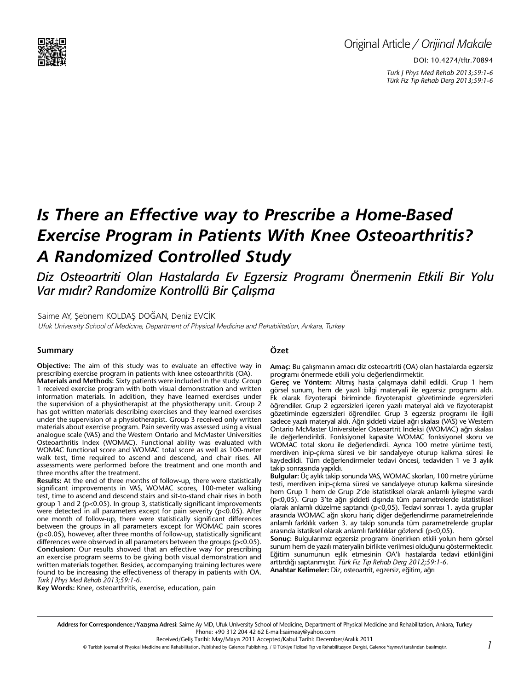

DOI: 10.4274/tftr.70894 *Turk J Phys Med Rehab 2013;59:1-6 Türk Fiz T›p Rehab Derg 2013;59:1-6*

# *Is There an Effective way to Prescribe a Home-Based Exercise Program in Patients With Knee Osteoarthritis? A Randomized Controlled Study*

*Diz Osteoartriti Olan Hastalarda Ev Egzersiz Programı Önermenin Etkili Bir Yolu Var mıdır? Randomize Kontrollü Bir Çalışma*

#### Saime AY, Şebnem KOLDAŞ DOĞAN, Deniz EVCİK

Ufuk University School of Medicine, Department of Physical Medicine and Rehabilitation, Ankara, Turkey

## **Summary**

**Objective:** The aim of this study was to evaluate an effective way in prescribing exercise program in patients with knee osteoarthritis (OA). **Materials and Methods:** Sixty patients were included in the study. Group

1 received exercise program with both visual demonstration and written information materials. In addition, they have learned exercises under the supervision of a physiotherapist at the physiotherapy unit. Group 2 has got written materials describing exercises and they learned exercises under the supervision of a physiotherapist. Group 3 received only written materials about exercise program. Pain severity was assessed using a visual analogue scale (VAS) and the Western Ontario and McMaster Universities Osteoarthritis Index (WOMAC). Functional ability was evaluated with WOMAC functional score and WOMAC total score as well as 100-meter walk test, time required to ascend and descend, and chair rises. All assessments were performed before the treatment and one month and three months after the treatment.

**Results:** At the end of three months of follow-up, there were statistically significant improvements in VAS, WOMAC scores, 100-meter walking test, time to ascend and descend stairs and sit-to-stand chair rises in both group 1 and 2 (p<0.05). In group 3, statistically significant improvements were detected in all parameters except for pain severity (p<0.05). After one month of follow-up, there were statistically significant differences between the groups in all parameters except for WOMAC pain scores (p<0.05), however, after three months of follow-up, statistically significant differences were observed in all parameters between the groups (p<0.05). **Conclusion:** Our results showed that an effective way for prescribing an exercise program seems to be giving both visual demonstration and written materials together. Besides, accompanying training lectures were found to be increasing the effectiveness of therapy in patients with OA. *Turk J Phys Med Rehab 2013;59:1-6.*

#### **Key Words:** Knee, osteoarthritis, exercise, education, pain

#### **Özet**

**Amaç:** Bu çalışmanın amacı diz osteoartriti (OA) olan hastalarda egzersiz programı önermede etkili yolu değerlendirmektir.

**Gereç ve Yöntem:** Altmış hasta çalışmaya dahil edildi. Grup 1 hem görsel sunum, hem de yazılı bilgi materyali ile egzersiz programı aldı. Ek olarak fizyoterapi biriminde fizyoterapist gözetiminde egzersizleri öğrendiler. Grup 2 egzersizleri içeren yazılı materyal aldı ve fizyoterapist gözetiminde egzersizleri öğrendiler. Grup 3 egzersiz programı ile ilgili sadece yazılı materyal aldı. Ağrı şiddeti vizüel ağrı skalası (VAS) ve Western Ontario McMaster Universiteler Osteoartrit Indeksi (WOMAC) ağrı skalası ile değerlendirildi. Fonksiyonel kapasite WOMAC fonksiyonel skoru ve WOMAC total skoru ile değerlendirdi. Ayrıca 100 metre yürüme testi, merdiven inip-çıkma süresi ve bir sandalyeye oturup kalkma süresi ile kaydedildi. Tüm değerlendirmeler tedavi öncesi, tedaviden 1 ve 3 aylık takip sonrasında yapıldı.

**Bulgular:** Üç aylık takip sonunda VAS, WOMAC skorları, 100 metre yürüme testi, merdiven inip-çıkma süresi ve sandalyeye oturup kalkma süresinde hem Grup 1 hem de Grup 2'de istatistiksel olarak anlamlı iyileşme vardı (p<0,05). Grup 3'te ağrı şiddeti dışında tüm parametrelerde istatistiksel olarak anlamlı düzelme saptandı (p<0,05). Tedavi sonrası 1. ayda gruplar arasında WOMAC ağrı skoru hariç diğer değerlendirme parametrelerinde anlamlı farklılık varken 3. ay takip sonunda tüm parametrelerde gruplar arasında istatiksel olarak anlamlı farklılıklar gözlendi (p<0,05).

**Sonuç:** Bulgularımız egzersiz programı önerirken etkili yolun hem görsel sunum hem de yazılı materyalin birlikte verilmesi olduğunu göstermektedir. Eğitim sunumunun eşlik etmesinin OA'lı hastalarda tedavi etkinliğini arttırdığı saptanmıştır. *Türk Fiz T›p Rehab Derg 2012;59:1-6*. **Anahtar Kelimeler:** Diz, osteoartrit, egzersiz, eğitim, ağrı

Address for Correspondence:/Yazışma Adresi: Saime Ay MD, Ufuk University School of Medicine, Department of Physical Medicine and Rehabilitation, Ankara, Turkey Phone: +90 312 204 42 62 E-mail:saimeay@yahoo.com

Received/Geliş Tarihi: May/Mayıs 2011 Accepted/Kabul Tarihi: December/Aralık 2011

© Turkish Journal of Physical Medicine and Rehabilitation, Published by Galenos Publishing. / © Türkiye Fiziksel Tıp ve Rehabilitasyon Dergisi, Galenos Yayınevi tarafından basılmıştır.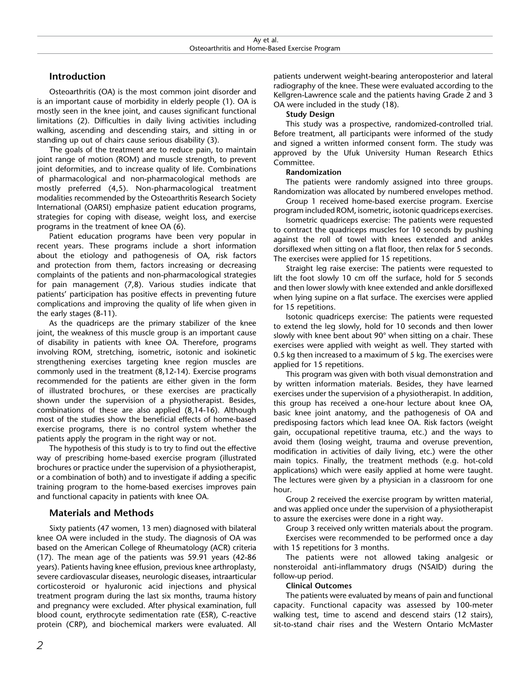# **Introduction**

Osteoarthritis (OA) is the most common joint disorder and is an important cause of morbidity in elderly people (1). OA is mostly seen in the knee joint, and causes significant functional limitations (2). Difficulties in daily living activities including walking, ascending and descending stairs, and sitting in or standing up out of chairs cause serious disability (3).

The goals of the treatment are to reduce pain, to maintain joint range of motion (ROM) and muscle strength, to prevent joint deformities, and to increase quality of life. Combinations of pharmacological and non-pharmacological methods are mostly preferred (4,5). Non-pharmacological treatment modalities recommended by the Osteoarthritis Research Society International (OARSI) emphasize patient education programs, strategies for coping with disease, weight loss, and exercise programs in the treatment of knee OA (6).

Patient education programs have been very popular in recent years. These programs include a short information about the etiology and pathogenesis of OA, risk factors and protection from them, factors increasing or decreasing complaints of the patients and non-pharmacological strategies for pain management (7,8). Various studies indicate that patients' participation has positive effects in preventing future complications and improving the quality of life when given in the early stages (8-11).

As the quadriceps are the primary stabilizer of the knee joint, the weakness of this muscle group is an important cause of disability in patients with knee OA. Therefore, programs involving ROM, stretching, isometric, isotonic and isokinetic strengthening exercises targeting knee region muscles are commonly used in the treatment (8,12-14). Exercise programs recommended for the patients are either given in the form of illustrated brochures, or these exercises are practically shown under the supervision of a physiotherapist. Besides, combinations of these are also applied (8,14-16). Although most of the studies show the beneficial effects of home-based exercise programs, there is no control system whether the patients apply the program in the right way or not.

The hypothesis of this study is to try to find out the effective way of prescribing home-based exercise program (illustrated brochures or practice under the supervision of a physiotherapist, or a combination of both) and to investigate if adding a specific training program to the home-based exercises improves pain and functional capacity in patients with knee OA.

# **Materials and Methods**

Sixty patients (47 women, 13 men) diagnosed with bilateral knee OA were included in the study. The diagnosis of OA was based on the American College of Rheumatology (ACR) criteria (17). The mean age of the patients was 59.91 years (42-86 years). Patients having knee effusion, previous knee arthroplasty, severe cardiovascular diseases, neurologic diseases, intraarticular corticosteroid or hyaluronic acid injections and physical treatment program during the last six months, trauma history and pregnancy were excluded. After physical examination, full blood count, erythrocyte sedimentation rate (ESR), C-reactive protein (CRP), and biochemical markers were evaluated. All patients underwent weight-bearing anteroposterior and lateral radiography of the knee. These were evaluated according to the Kellgren-Lawrence scale and the patients having Grade 2 and 3 OA were included in the study (18).

# **Study Design**

This study was a prospective, randomized-controlled trial. Before treatment, all participants were informed of the study and signed a written informed consent form. The study was approved by the Ufuk University Human Research Ethics Committee.

# **Randomization**

The patients were randomly assigned into three groups. Randomization was allocated by numbered envelopes method.

Group 1 received home-based exercise program. Exercise program included ROM, isometric, isotonic quadriceps exercises.

Isometric quadriceps exercise: The patients were requested to contract the quadriceps muscles for 10 seconds by pushing against the roll of towel with knees extended and ankles dorsiflexed when sitting on a flat floor, then relax for 5 seconds. The exercises were applied for 15 repetitions.

Straight leg raise exercise: The patients were requested to lift the foot slowly 10 cm off the surface, hold for 5 seconds and then lower slowly with knee extended and ankle dorsiflexed when lying supine on a flat surface. The exercises were applied for 15 repetitions.

Isotonic quadriceps exercise: The patients were requested to extend the leg slowly, hold for 10 seconds and then lower slowly with knee bent about 90° when sitting on a chair. These exercises were applied with weight as well. They started with 0.5 kg then increased to a maximum of 5 kg. The exercises were applied for 15 repetitions.

This program was given with both visual demonstration and by written information materials. Besides, they have learned exercises under the supervision of a physiotherapist. In addition, this group has received a one-hour lecture about knee OA, basic knee joint anatomy, and the pathogenesis of OA and predisposing factors which lead knee OA. Risk factors (weight gain, occupational repetitive trauma, etc.) and the ways to avoid them (losing weight, trauma and overuse prevention, modification in activities of daily living, etc.) were the other main topics. Finally, the treatment methods (e.g. hot-cold applications) which were easily applied at home were taught. The lectures were given by a physician in a classroom for one hour.

Group 2 received the exercise program by written material, and was applied once under the supervision of a physiotherapist to assure the exercises were done in a right way.

Group 3 received only written materials about the program. Exercises were recommended to be performed once a day with 15 repetitions for 3 months.

The patients were not allowed taking analgesic or nonsteroidal anti-inflammatory drugs (NSAID) during the follow-up period.

## **Clinical Outcomes**

The patients were evaluated by means of pain and functional capacity. Functional capacity was assessed by 100-meter walking test, time to ascend and descend stairs (12 stairs), sit-to-stand chair rises and the Western Ontario McMaster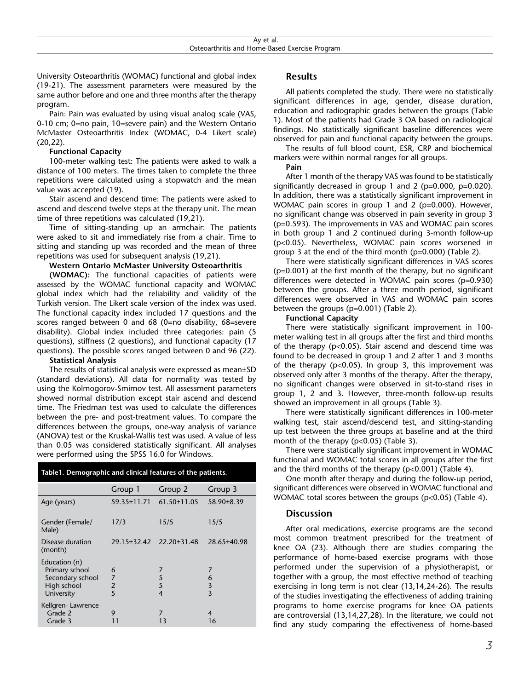University Osteoarthritis (WOMAC) functional and global index (19-21). The assessment parameters were measured by the same author before and one and three months after the therapy program.

Pain: Pain was evaluated by using visual analog scale (VAS, 0-10 cm; 0=no pain, 10=severe pain) and the Western Ontario McMaster Osteoarthritis Index (WOMAC, 0-4 Likert scale) (20,22).

#### **Functional Capacity**

100-meter walking test: The patients were asked to walk a distance of 100 meters. The times taken to complete the three repetitions were calculated using a stopwatch and the mean value was accepted (19).

Stair ascend and descend time: The patients were asked to ascend and descend twelve steps at the therapy unit. The mean time of three repetitions was calculated (19,21).

Time of sitting-standing up an armchair: The patients were asked to sit and immediately rise from a chair. Time to sitting and standing up was recorded and the mean of three repetitions was used for subsequent analysis (19,21).

## **Western Ontario McMaster University Osteoarthritis**

**(WOMAC):** The functional capacities of patients were assessed by the WOMAC functional capacity and WOMAC global index which had the reliability and validity of the Turkish version. The Likert scale version of the index was used. The functional capacity index included 17 questions and the scores ranged between 0 and 68 (0=no disability, 68=severe disability). Global index included three categories: pain (5 questions), stiffness (2 questions), and functional capacity (17 questions). The possible scores ranged between 0 and 96 (22).

#### **Statistical Analysis**

The results of statistical analysis were expressed as mean±SD (standard deviations). All data for normality was tested by using the Kolmogorov-Smirnov test. All assessment parameters showed normal distribution except stair ascend and descend time. The Friedman test was used to calculate the differences between the pre- and post-treatment values. To compare the differences between the groups, one-way analysis of variance (ANOVA) test or the Kruskal-Wallis test was used. A value of less than 0.05 was considered statistically significant. All analyses were performed using the SPSS 16.0 for Windows.

| Table 1. Demographic and clinical features of the patients.                      |                               |                               |                         |  |
|----------------------------------------------------------------------------------|-------------------------------|-------------------------------|-------------------------|--|
|                                                                                  | Group 1                       | Group 2                       | Group 3                 |  |
| Age (years)                                                                      | 59.35±11.71                   | $61.50 \pm 11.05$             | 58.90±8.39              |  |
| Gender (Female/<br>Male)                                                         | 17/3                          | 15/5                          | 15/5                    |  |
| Disease duration<br>(month)                                                      | 29.15±32.42                   | $22.20 \pm 31.48$             | 28.65±40.98             |  |
| Education (n)<br>Primary school<br>Secondary school<br>High school<br>University | 6<br>$\overline{7}$<br>2<br>5 | 7<br>5<br>5<br>$\overline{4}$ | 7<br>6<br>$\frac{3}{3}$ |  |
| Kellgren-Lawrence<br>Grade 2<br>Grade 3                                          | 9<br>11                       | $\overline{7}$<br>13          | 4<br>16                 |  |

# **Results**

All patients completed the study. There were no statistically significant differences in age, gender, disease duration, education and radiographic grades between the groups (Table 1). Most of the patients had Grade 3 OA based on radiological findings. No statistically significant baseline differences were observed for pain and functional capacity between the groups.

The results of full blood count, ESR, CRP and biochemical markers were within normal ranges for all groups.

**Pain**

After 1 month of the therapy VAS was found to be statistically significantly decreased in group 1 and 2 ( $p=0.000$ ,  $p=0.020$ ). In addition, there was a statistically significant improvement in WOMAC pain scores in group 1 and 2 (p=0.000). However, no significant change was observed in pain severity in group 3 (p=0.593). The improvements in VAS and WOMAC pain scores in both group 1 and 2 continued during 3-month follow-up (p<0.05). Nevertheless, WOMAC pain scores worsened in group 3 at the end of the third month (p=0.000) (Table 2).

There were statistically significant differences in VAS scores (p=0.001) at the first month of the therapy, but no significant differences were detected in WOMAC pain scores (p=0.930) between the groups. After a three month period, significant differences were observed in VAS and WOMAC pain scores between the groups (p=0.001) (Table 2).

#### **Functional Capacity**

There were statistically significant improvement in 100 meter walking test in all groups after the first and third months of the therapy (p<0.05). Stair ascend and descend time was found to be decreased in group 1 and 2 after 1 and 3 months of the therapy ( $p<0.05$ ). In group 3, this improvement was observed only after 3 months of the therapy. After the therapy, no significant changes were observed in sit-to-stand rises in group 1, 2 and 3. However, three-month follow-up results showed an improvement in all groups (Table 3).

There were statistically significant differences in 100-meter walking test, stair ascend/descend test, and sitting-standing up test between the three groups at baseline and at the third month of the therapy (p<0.05) (Table 3).

There were statistically significant improvement in WOMAC functional and WOMAC total scores in all groups after the first and the third months of the therapy (p<0.001) (Table 4).

One month after therapy and during the follow-up period, significant differences were observed in WOMAC functional and WOMAC total scores between the groups (p<0.05) (Table 4).

## **Discussion**

After oral medications, exercise programs are the second most common treatment prescribed for the treatment of knee OA (23). Although there are studies comparing the performance of home-based exercise programs with those performed under the supervision of a physiotherapist, or together with a group, the most effective method of teaching exercising in long term is not clear (13,14,24-26). The results of the studies investigating the effectiveness of adding training programs to home exercise programs for knee OA patients are controversial (13,14,27,28). In the literature, we could not find any study comparing the effectiveness of home-based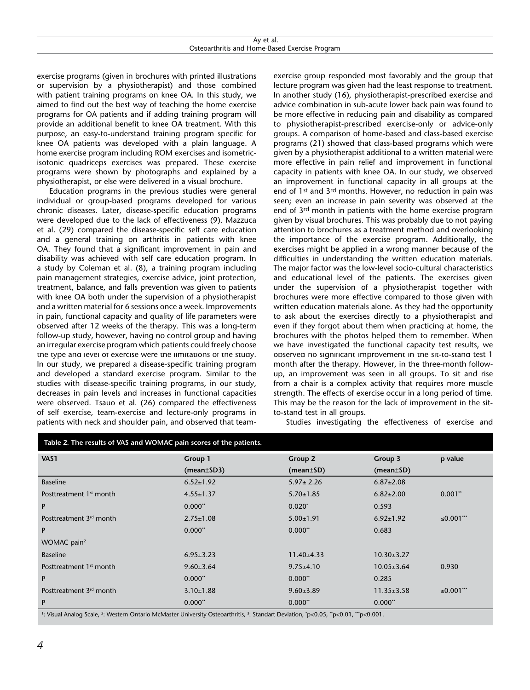| Ay et al.                                      |  |  |  |
|------------------------------------------------|--|--|--|
| Osteoarthritis and Home-Based Exercise Program |  |  |  |

exercise programs (given in brochures with printed illustrations or supervision by a physiotherapist) and those combined with patient training programs on knee OA. In this study, we aimed to find out the best way of teaching the home exercise programs for OA patients and if adding training program will provide an additional benefit to knee OA treatment. With this purpose, an easy-to-understand training program specific for knee OA patients was developed with a plain language. A home exercise program including ROM exercises and isometricisotonic quadriceps exercises was prepared. These exercise programs were shown by photographs and explained by a physiotherapist, or else were delivered in a visual brochure.

Education programs in the previous studies were general individual or group-based programs developed for various chronic diseases. Later, disease-specific education programs were developed due to the lack of effectiveness (9). Mazzuca et al. (29) compared the disease-specific self care education and a general training on arthritis in patients with knee OA. They found that a significant improvement in pain and disability was achieved with self care education program. In a study by Coleman et al. (8), a training program including pain management strategies, exercise advice, joint protection, treatment, balance, and falls prevention was given to patients with knee OA both under the supervision of a physiotherapist and a written material for 6 sessions once a week. Improvements in pain, functional capacity and quality of life parameters were observed after 12 weeks of the therapy. This was a long-term follow-up study, however, having no control group and having an irregular exercise program which patients could freely choose the type and level of exercise were the limitations of the study. In our study, we prepared a disease-specific training program and developed a standard exercise program. Similar to the studies with disease-specific training programs, in our study, decreases in pain levels and increases in functional capacities were observed. Tsauo et al. (26) compared the effectiveness of self exercise, team-exercise and lecture-only programs in patients with neck and shoulder pain, and observed that teamexercise group responded most favorably and the group that lecture program was given had the least response to treatment. In another study (16), physiotherapist-prescribed exercise and advice combination in sub-acute lower back pain was found to be more effective in reducing pain and disability as compared to physiotherapist-prescribed exercise-only or advice-only groups. A comparison of home-based and class-based exercise programs (21) showed that class-based programs which were given by a physiotherapist additional to a written material were more effective in pain relief and improvement in functional capacity in patients with knee OA. In our study, we observed an improvement in functional capacity in all groups at the end of 1st and 3rd months. However, no reduction in pain was seen; even an increase in pain severity was observed at the end of 3<sup>rd</sup> month in patients with the home exercise program given by visual brochures. This was probably due to not paying attention to brochures as a treatment method and overlooking the importance of the exercise program. Additionally, the exercises might be applied in a wrong manner because of the difficulties in understanding the written education materials. The major factor was the low-level socio-cultural characteristics and educational level of the patients. The exercises given under the supervision of a physiotherapist together with brochures were more effective compared to those given with written education materials alone. As they had the opportunity to ask about the exercises directly to a physiotherapist and even if they forgot about them when practicing at home, the brochures with the photos helped them to remember. When we have investigated the functional capacity test results, we observed no significant improvement in the sit-to-stand test 1 month after the therapy. However, in the three-month followup, an improvement was seen in all groups. To sit and rise from a chair is a complex activity that requires more muscle strength. The effects of exercise occur in a long period of time. This may be the reason for the lack of improvement in the sitto-stand test in all groups.

Studies investigating the effectiveness of exercise and

| Table 2. The results of VAS and WOMAC pain scores of the patients. |                       |                  |                  |           |
|--------------------------------------------------------------------|-----------------------|------------------|------------------|-----------|
| VAS1                                                               | Group 1               | Group 2          | Group 3          | p value   |
|                                                                    | $(mean \pm SD3)$      | $(mean \pm SD)$  | (mean±SD)        |           |
| <b>Baseline</b>                                                    | $6.52 \pm 1.92$       | $5.97 \pm 2.26$  | $6.87 \pm 2.08$  |           |
| Posttreatment 1 <sup>st</sup> month                                | $4.55 \pm 1.37$       | $5.70 \pm 1.85$  | $6.82 \pm 2.00$  | 0.001"    |
| P                                                                  | $0.000**$             | $0.020^*$        | 0.593            |           |
| Posttreatment 3 <sup>rd</sup> month                                | $2.75 \pm 1.08$       | $5.00 \pm 1.91$  | $6.92 \pm 1.92$  | ≤0.001*** |
| P                                                                  | $0.000$ <sup>**</sup> | $0.000**$        | 0.683            |           |
| WOMAC pain <sup>2</sup>                                            |                       |                  |                  |           |
| <b>Baseline</b>                                                    | $6.95 \pm 3.23$       | $11.40{\pm}4.33$ | $10.30 \pm 3.27$ |           |
| Posttreatment 1 <sup>st</sup> month                                | $9.60 \pm 3.64$       | $9.75 \pm 4.10$  | $10.05 \pm 3.64$ | 0.930     |
| P                                                                  | $0.000**$             | $0.000**$        | 0.285            |           |
| Posttreatment 3rd month                                            | $3.10 \pm 1.88$       | $9.60 \pm 3.89$  | $11.35 \pm 3.58$ | ≤0.001*** |
| P                                                                  | $0.000**$             | $0.000$ **       | $0.000**$        |           |

 $^{\rm 1}$ : Visual Analog Scale, <sup>2</sup>: Western Ontario McMaster University Osteoarthritis, <sup>3</sup>: Standart Deviation, \*p<0.05, \*p<0.01, \*\*p<0.001.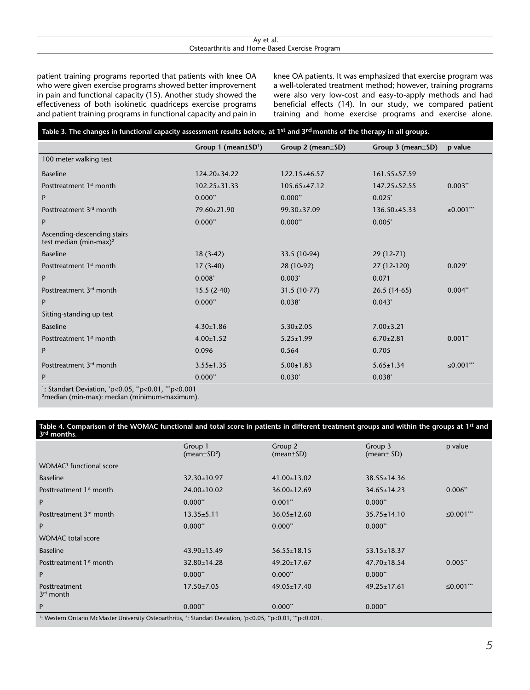| Ay et al.                                      |  |  |  |  |
|------------------------------------------------|--|--|--|--|
| Osteoarthritis and Home-Based Exercise Program |  |  |  |  |

patient training programs reported that patients with knee OA who were given exercise programs showed better improvement in pain and functional capacity (15). Another study showed the effectiveness of both isokinetic quadriceps exercise programs and patient training programs in functional capacity and pain in

knee OA patients. It was emphasized that exercise program was a well-tolerated treatment method; however, training programs were also very low-cost and easy-to-apply methods and had beneficial effects (14). In our study, we compared patient training and home exercise programs and exercise alone.

| Table 3. The changes in functional capacity assessment results before, at 1 <sup>st</sup> and 3 <sup>rd</sup> months of the therapy in all groups. |                                       |                    |                    |            |
|----------------------------------------------------------------------------------------------------------------------------------------------------|---------------------------------------|--------------------|--------------------|------------|
|                                                                                                                                                    | Group 1 (mean $\pm$ SD <sup>1</sup> ) | Group 2 (mean±SD)  | Group 3 (mean±SD)  | p value    |
| 100 meter walking test                                                                                                                             |                                       |                    |                    |            |
| <b>Baseline</b>                                                                                                                                    | $124.20 \pm 34.22$                    | $122.15 \pm 46.57$ | $161.55 \pm 57.59$ |            |
| Posttreatment 1 <sup>st</sup> month                                                                                                                | $102.25 \pm 31.33$                    | $105.65 \pm 47.12$ | $147.25 \pm 52.55$ | $0.003$ ** |
| P                                                                                                                                                  | $0.000$ <sup>**</sup>                 | $0.000$ **         | $0.025^*$          |            |
| Posttreatment 3 <sup>rd</sup> month                                                                                                                | 79.60±21.90                           | $99.30 \pm 37.09$  | $136.50\pm45.33$   | ≤0.001***  |
| P                                                                                                                                                  | $0.000$ <sup>**</sup>                 | $0.000$ **         | $0.005*$           |            |
| Ascending-descending stairs<br>test median (min-max) <sup>2</sup>                                                                                  |                                       |                    |                    |            |
| <b>Baseline</b>                                                                                                                                    | $18(3-42)$                            | 33.5 (10-94)       | 29 (12-71)         |            |
| Posttreatment 1 <sup>st</sup> month                                                                                                                | $17(3-40)$                            | 28 (10-92)         | 27 (12-120)        | $0.029*$   |
| P                                                                                                                                                  | $0.008*$                              | $0.003*$           | 0.071              |            |
| Posttreatment 3rd month                                                                                                                            | $15.5(2-40)$                          | 31.5 (10-77)       | $26.5(14-65)$      | $0.004$ ** |
| P                                                                                                                                                  | $0.000**$                             | $0.038*$           | $0.043*$           |            |
| Sitting-standing up test                                                                                                                           |                                       |                    |                    |            |
| <b>Baseline</b>                                                                                                                                    | $4.30 \pm 1.86$                       | $5.30 \pm 2.05$    | $7.00 \pm 3.21$    |            |
| Posttreatment 1 <sup>st</sup> month                                                                                                                | $4.00 \pm 1.52$                       | $5.25 \pm 1.99$    | $6.70 \pm 2.81$    | $0.001$ ** |
| P                                                                                                                                                  | 0.096                                 | 0.564              | 0.705              |            |
| Posttreatment 3rd month                                                                                                                            | $3.55 \pm 1.35$                       | $5.00 \pm 1.83$    | $5.65 \pm 1.34$    | ≤0.001***  |
| P                                                                                                                                                  | $0.000$ <sup>**</sup>                 | $0.030*$           | $0.038*$           |            |
| 1. Changle of Devicetion $\lambda_0$ , O.O.C. $\lambda_0$ , O.O.C. $\lambda_1$                                                                     |                                       |                    |                    |            |

1: Standart Deviation, \*p<0.05, \*\*p<0.01, \*\*\*p<0.001<br><sup>2</sup>median (min-max): median (minimum-maximum).

# **Table 4. Comparison of the WOMAC functional and total score in patients in different treatment groups and within the groups at 1st and**

| 3 <sup>rd</sup> months.                                                                                                                            |                                          |                            |                            |            |
|----------------------------------------------------------------------------------------------------------------------------------------------------|------------------------------------------|----------------------------|----------------------------|------------|
|                                                                                                                                                    | Group 1<br>(mean $\pm$ SD <sup>2</sup> ) | Group 2<br>$(mean \pm SD)$ | Group 3<br>(mean $\pm$ SD) | p value    |
| WOMAC <sup>1</sup> functional score                                                                                                                |                                          |                            |                            |            |
| <b>Baseline</b>                                                                                                                                    | $32.30 \pm 10.97$                        | $41.00 \pm 13.02$          | $38.55 \pm 14.36$          |            |
| Posttreatment 1 <sup>st</sup> month                                                                                                                | $24.00 \pm 10.02$                        | $36.00 \pm 12.69$          | $34.65 \pm 14.23$          | $0.006**$  |
| P                                                                                                                                                  | $0.000$ <sup>**</sup>                    | 0.001"                     | $0.000$ <sup>**</sup>      |            |
| Posttreatment 3 <sup>rd</sup> month                                                                                                                | $13.35 \pm 5.11$                         | $36.05 \pm 12.60$          | $35.75 \pm 14.10$          | ≤0.001***  |
| P                                                                                                                                                  | $0.000$ <sup>**</sup>                    | $0.000$ <sup>**</sup>      | $0.000$ <sup>**</sup>      |            |
| <b>WOMAC</b> total score                                                                                                                           |                                          |                            |                            |            |
| <b>Baseline</b>                                                                                                                                    | 43.90±15.49                              | $56.55 \pm 18.15$          | $53.15 \pm 18.37$          |            |
| Posttreatment 1 <sup>st</sup> month                                                                                                                | $32.80 \pm 14.28$                        | $49.20 \pm 17.67$          | $47.70 \pm 18.54$          | $0.005$ ** |
| P                                                                                                                                                  | $0.000**$                                | $0.000$ <sup>**</sup>      | 0.000"                     |            |
| Posttreatment<br>$3rd$ month                                                                                                                       | $17.50 \pm 7.05$                         | $49.05 \pm 17.40$          | $49.25 \pm 17.61$          | ≤0.001***  |
| P                                                                                                                                                  | $0.000**$                                | $0.000$ <sup>**</sup>      | $0.000$ <sup>**</sup>      |            |
| <sup>1</sup> : Western Ontario McMaster University Osteoarthritis. <sup>2</sup> : Standart Deviation. $p < 0.05$ . " $p < 0.01$ . "" $p < 0.001$ . |                                          |                            |                            |            |

: Western Ontario McMaster University Osteoarthritis, <sup>2</sup> : Standart Deviation, \* p<0.05, \*\*p<0.01, \*\*\*p<0.001.